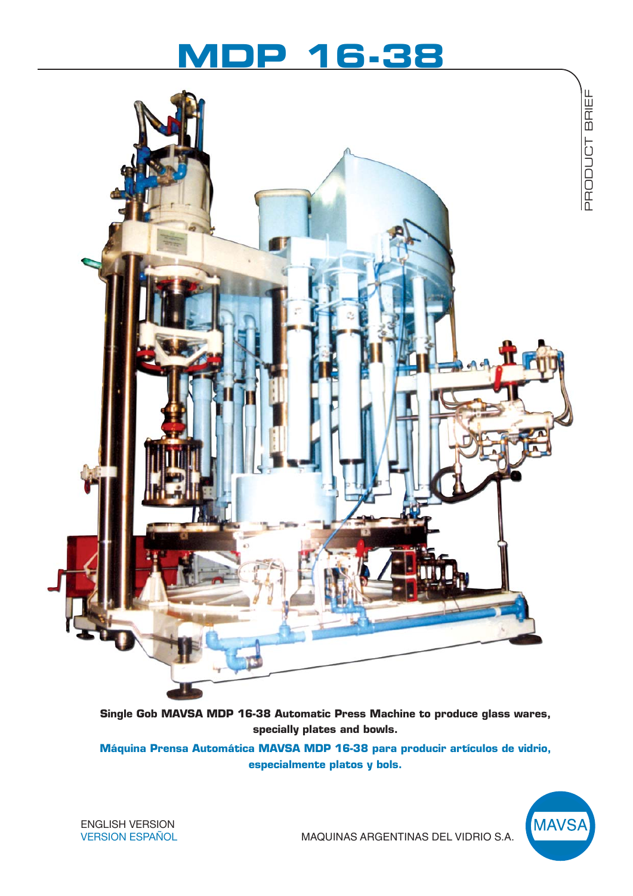# **MDP 16-38**



**Single Gob MAVSA MDP 16-38 Automatic Press Machine to produce glass wares, specially plates and bowls.**

**Máquina Prensa Automática MAVSA MDP 16-38 para producir artículos de vidrio, especialmente platos y bols.**



ENGLISH VERSION VERSION ESPAÑOL

MAQUINAS ARGENTINAS DEL VIDRIO S.A.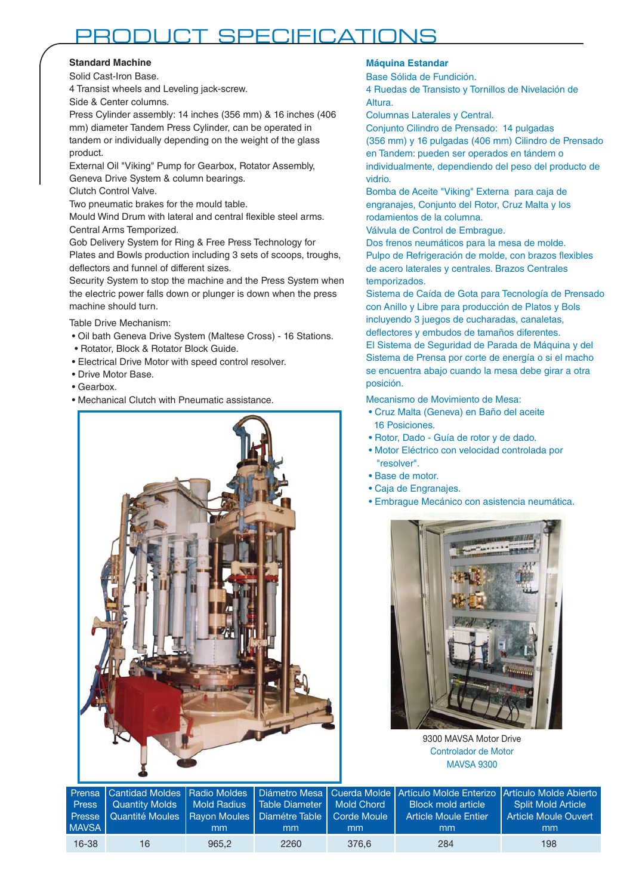## PRODUCT SPECIFICATIONS

### **Standard Machine**

Solid Cast-Iron Base.

4 Transist wheels and Leveling jack-screw. Side & Center columns.

Press Cylinder assembly: 14 inches (356 mm) & 16 inches (406 mm) diameter Tandem Press Cylinder, can be operated in tandem or individually depending on the weight of the glass product.

External Oil "Viking" Pump for Gearbox, Rotator Assembly, Geneva Drive System & column bearings.

Clutch Control Valve.

Two pneumatic brakes for the mould table.

Mould Wind Drum with lateral and central flexible steel arms. Central Arms Temporized.

Gob Delivery System for Ring & Free Press Technology for Plates and Bowls production including 3 sets of scoops, troughs, deflectors and funnel of different sizes.

Security System to stop the machine and the Press System when the electric power falls down or plunger is down when the press machine should turn.

Table Drive Mechanism:

- Oil bath Geneva Drive System (Maltese Cross) 16 Stations.
- Rotator, Block & Rotator Block Guide.
- Electrical Drive Motor with speed control resolver.
- Drive Motor Base.
- Gearbox.
- Mechanical Clutch with Pneumatic assistance.



## **Máquina Estandar**

Base Sólida de Fundición.

4 Ruedas de Transisto y Tornillos de Nivelación de Altura.

Columnas Laterales y Central.

Conjunto Cilindro de Prensado: 14 pulgadas (356 mm) y 16 pulgadas (406 mm) Cilindro de Prensado en Tandem: pueden ser operados en tándem o individualmente, dependiendo del peso del producto de vidrio.

Bomba de Aceite "Viking" Externa para caja de engranajes, Conjunto del Rotor, Cruz Malta y los rodamientos de la columna.

Válvula de Control de Embrague.

Dos frenos neumáticos para la mesa de molde. Pulpo de Refrigeración de molde, con brazos flexibles de acero laterales y centrales. Brazos Centrales temporizados.

Sistema de Caída de Gota para Tecnología de Prensado con Anillo y Libre para producción de Platos y Bols incluyendo 3 juegos de cucharadas, canaletas, deflectores y embudos de tamaños diferentes.

El Sistema de Seguridad de Parada de Máquina y del Sistema de Prensa por corte de energía o si el macho se encuentra abajo cuando la mesa debe girar a otra posición.

Mecanismo de Movimiento de Mesa:

- Cruz Malta (Geneva) en Baño del aceite 16 Posiciones.
- Rotor, Dado Guía de rotor y de dado.
- Motor Eléctrico con velocidad controlada por "resolver".
- Base de motor.
- Caja de Engranajes.
- Embrague Mecánico con asistencia neumática.



9300 MAVSA Motor Drive Controlador de Motor MAVSA 9300

| <b>MAVSA</b> | Press   Quantity Molds   Mold Radius   Table Diameter   Mold Chord   1<br>Presse   Quantité Moules   Rayon Moules   Diamétre Table   Corde Moule | mm    | mm   | mm    | Prensa Cantidad Moldes Radio Moldes Diámetro Mesa Cuerda Molde Artículo Molde Enterizo Artículo Molde Abierto<br>Block mold article<br><b>Article Moule Entier</b><br>mm | <b>Split Mold Article</b><br>Article Moule Ouvert<br>mm |
|--------------|--------------------------------------------------------------------------------------------------------------------------------------------------|-------|------|-------|--------------------------------------------------------------------------------------------------------------------------------------------------------------------------|---------------------------------------------------------|
| $16 - 38$    | 16                                                                                                                                               | 965.2 | 2260 | 376.6 | 284                                                                                                                                                                      | 198                                                     |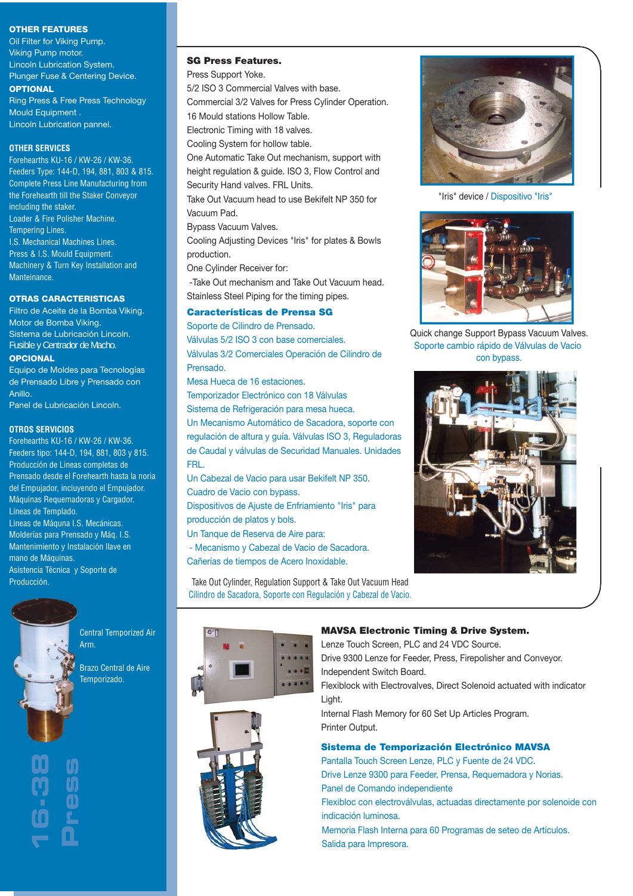#### **OTHER FEATURES**

Oil Filter for Viking Pump. Viking Pump motor. Lincoln Lubrication System. Plunger Fuse & Centering Device. **OPTIONAL**

Ring Press & Free Press Technology Mould Equipment . Lincoln Lubrication pannel.

#### **OTHER SERVICES**

Forehearths KU-16 / KW-26 / KW-36. Feeders Type: 144-D, 194, 881, 803 & 815. Complete Press Line Manufacturing from the Forehearth till the Staker Conveyor including the staker. Loader & Fire Polisher Machine. Tempering Lines. I.S. Mechanical Machines Lines. Press & I.S. Mould Equipment. Machinery & Turn Key Installation and Manteinance.

#### **OTRAS CARACTERISTICAS**

Filtro de Aceite de la Bomba Viking. Motor de Bomba Viking. Sistema de Lubricación Lincoln. Fusible y Centrador de Macho. **OPCIONAL**

Equipo de Moldes para Tecnologías de Prensado Libre y Prensado con Anillo.

Panel de Lubricación Lincoln.

#### **OTROS SERVICIOS**

Forehearths KU-16 / KW-26 / KW-36. Feeders tipo: 144-D, 194, 881, 803 y 815. Producción de Lineas completas de Prensado desde el Forehearth hasta la noria del Empujador, incluyendo el Empujador. Máquinas Requemadoras y Cargador. Líneas de Templado. Lineas de Máquna I.S. Mecánicas. Molderías para Prensado y Máq. I.S. Mantenimiento y Instalación llave en mano de Máquinas. Asistencia Técnica y Soporte de Producción.

> Central Temporized Air Arm.

> > Brazo Central de Aire Temporizado.



#### **SG Press Features.**

Press Support Yoke.

5/2 ISO 3 Commercial Valves with base.

Commercial 3/2 Valves for Press Cylinder Operation. 16 Mould stations Hollow Table.

Electronic Timing with 18 valves.

Cooling System for hollow table.

One Automatic Take Out mechanism, support with height regulation & guide. ISO 3, Flow Control and Security Hand valves. FRL Units.

Take Out Vacuum head to use Bekifelt NP 350 for Vacuum Pad.

Bypass Vacuum Valves.

Cooling Adjusting Devices "Iris" for plates & Bowls production.

One Cylinder Receiver for:

 -Take Out mechanism and Take Out Vacuum head. Stainless Steel Piping for the timing pipes.

### **Características de Prensa SG**

Soporte de Cilindro de Prensado. Válvulas 5/2 ISO 3 con base comerciales. Válvulas 3/2 Comerciales Operación de Cilindro de Prensado.

Mesa Hueca de 16 estaciones.

Temporizador Electrónico con 18 Válvulas Sistema de Refrigeración para mesa hueca. Un Mecanismo Automático de Sacadora, soporte con regulación de altura y guía. Válvulas ISO 3, Reguladoras de Caudal y válvulas de Securidad Manuales. Unidades

FRL.

Un Cabezal de Vacio para usar Bekifelt NP 350. Cuadro de Vacio con bypass.

Dispositivos de Ajuste de Enfriamiento "Iris" para producción de platos y bols.

Un Tanque de Reserva de Aire para:

- Mecanismo y Cabezal de Vacio de Sacadora.

Cañerías de tiempos de Acero Inoxidable.

Take Out Cylinder, Regulation Support & Take Out Vacuum Head Cilindro de Sacadora, Soporte con Regulación y Cabezal de Vacio.





"Iris" device / Dispositivo "Iris"



Quick change Support Bypass Vacuum Valves. Soporte cambio rápido de Válvulas de Vacio con bypass.



#### **MAVSA Electronic Timing & Drive System.**

Lenze Touch Screen, PLC and 24 VDC Source. Drive 9300 Lenze for Feeder, Press, Firepolisher and Conveyor.

Independent Switch Board.

Flexiblock with Electrovalves, Direct Solenoid actuated with indicator Light.

Internal Flash Memory for 60 Set Up Articles Program. Printer Output.

#### **Sistema de Temporización Electrónico MAVSA**

Pantalla Touch Screen Lenze, PLC y Fuente de 24 VDC. Drive Lenze 9300 para Feeder, Prensa, Requemadora y Norias. Panel de Comando independiente

Flexibloc con electroválvulas, actuadas directamente por solenoide con indicación luminosa.

Memoria Flash Interna para 60 Programas de seteo de Artículos. Salida para Impresora.